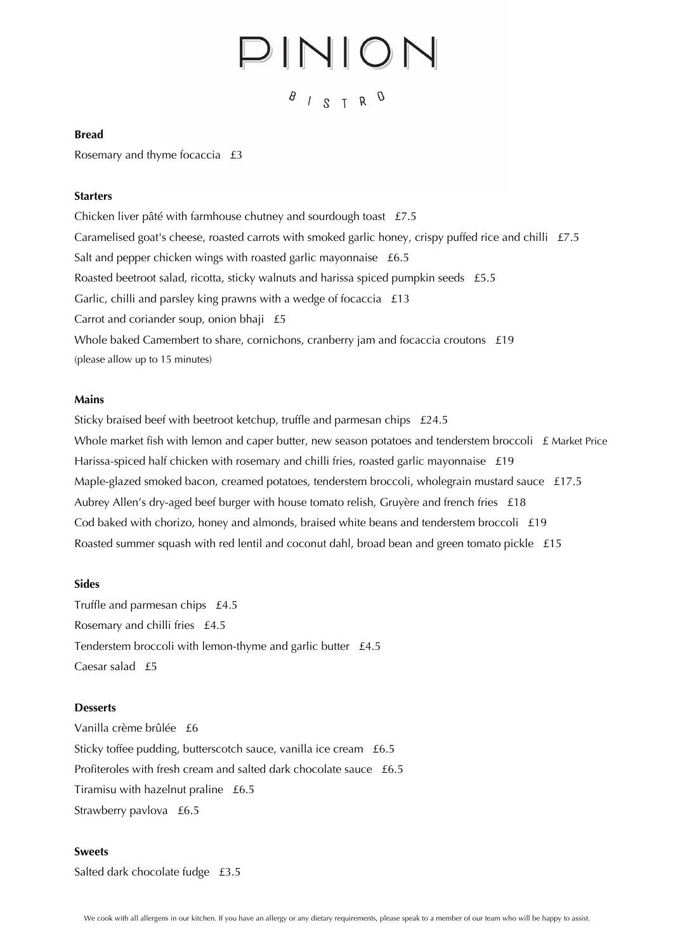# $PINION$

 $B$  /  $S$  T R  $\Omega$ 

### **Bread**

Rosemary and thyme focaccia £3

# **Starters**

Chicken liver pâté with farmhouse chutney and sourdough toast £7.5 Caramelised goat's cheese, roasted carrots with smoked garlic honey, crispy puffed rice and chilli £7.5 Salt and pepper chicken wings with roasted garlic mayonnaise £6.5 Roasted beetroot salad, ricotta, sticky walnuts and harissa spiced pumpkin seeds £5.5 Garlic, chilli and parsley king prawns with a wedge of focaccia £13 Carrot and coriander soup, onion bhaji £5 Whole baked Camembert to share, cornichons, cranberry jam and focaccia croutons £19 (please allow up to 15 minutes)

#### **Mains**

Sticky braised beef with beetroot ketchup, truffle and parmesan chips £24.5 Whole market fish with lemon and caper butter, new season potatoes and tenderstem broccoli  $\pm$  Market Price Harissa-spiced half chicken with rosemary and chilli fries, roasted garlic mayonnaise £19 Maple-glazed smoked bacon, creamed potatoes, tenderstem broccoli, wholegrain mustard sauce £17.5 Aubrey Allen's dry-aged beef burger with house tomato relish, Gruyère and french fries £18 Cod baked with chorizo, honey and almonds, braised white beans and tenderstem broccoli  $£19$ Roasted summer squash with red lentil and coconut dahl, broad bean and green tomato pickle £15

#### **Sides**

Truffle and parmesan chips £4.5 Rosemary and chilli fries £4.5 Tenderstem broccoli with lemon-thyme and garlic butter £4.5 Caesar salad £5

## **Desserts**

Vanilla crème brûlée £6 Sticky toffee pudding, butterscotch sauce, vanilla ice cream £6.5 Profiteroles with fresh cream and salted dark chocolate sauce £6.5 Tiramisu with hazelnut praline £6.5 Strawberry pavlova £6.5

#### **Sweets**

Salted dark chocolate fudge £3.5